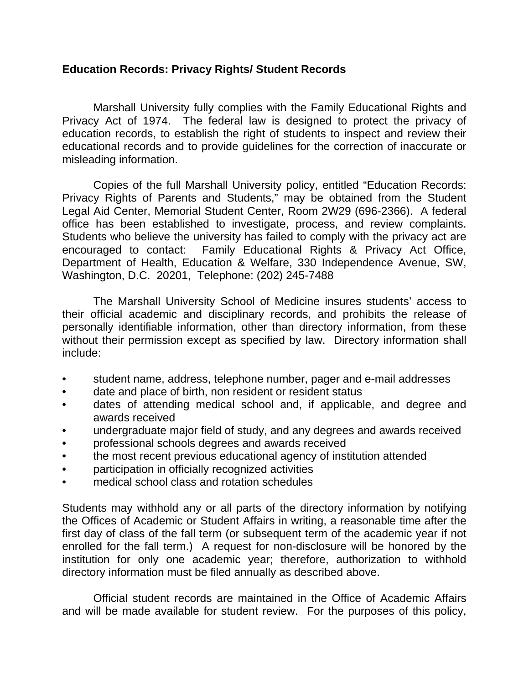## **Education Records: Privacy Rights/ Student Records**

 Marshall University fully complies with the Family Educational Rights and Privacy Act of 1974. The federal law is designed to protect the privacy of education records, to establish the right of students to inspect and review their educational records and to provide guidelines for the correction of inaccurate or misleading information.

 Copies of the full Marshall University policy, entitled "Education Records: Privacy Rights of Parents and Students," may be obtained from the Student Legal Aid Center, Memorial Student Center, Room 2W29 (696-2366). A federal office has been established to investigate, process, and review complaints. Students who believe the university has failed to comply with the privacy act are encouraged to contact: Family Educational Rights & Privacy Act Office, Department of Health, Education & Welfare, 330 Independence Avenue, SW, Washington, D.C. 20201, Telephone: (202) 245-7488

 The Marshall University School of Medicine insures students' access to their official academic and disciplinary records, and prohibits the release of personally identifiable information, other than directory information, from these without their permission except as specified by law. Directory information shall include:

- student name, address, telephone number, pager and e-mail addresses
- date and place of birth, non resident or resident status
- dates of attending medical school and, if applicable, and degree and awards received
- undergraduate major field of study, and any degrees and awards received
- professional schools degrees and awards received
- the most recent previous educational agency of institution attended
- participation in officially recognized activities
- medical school class and rotation schedules

Students may withhold any or all parts of the directory information by notifying the Offices of Academic or Student Affairs in writing, a reasonable time after the first day of class of the fall term (or subsequent term of the academic year if not enrolled for the fall term.) A request for non-disclosure will be honored by the institution for only one academic year; therefore, authorization to withhold directory information must be filed annually as described above.

 Official student records are maintained in the Office of Academic Affairs and will be made available for student review. For the purposes of this policy,